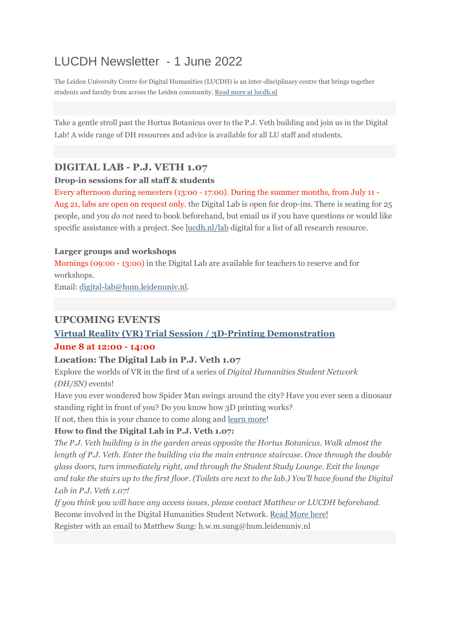# LUCDH Newsletter - 1 June 2022

The Leiden University Centre for Digital Humanities (LUCDH) is an inter-disciplinary centre that brings together students and faculty from across the Leiden community. Read more at [lucdh.nl](https://eur03.safelinks.protection.outlook.com/?url=https%3A%2F%2Fmailings.universiteitleiden.nl%2Ft%2Fd-l-fjdildk-ildrlkutiy-y%2F&data=05%7C01%7Ca.j.carter%40hum.leidenuniv.nl%7Cea8f918ef7344281dfdd08da42e1a208%7Cca2a7f76dbd74ec091086b3d524fb7c8%7C0%7C0%7C637895834108420443%7CUnknown%7CTWFpbGZsb3d8eyJWIjoiMC4wLjAwMDAiLCJQIjoiV2luMzIiLCJBTiI6Ik1haWwiLCJXVCI6Mn0%3D%7C3000%7C%7C%7C&sdata=6rjIcBe4gPe8HL3yIYy5wmM5UJdgdS35PLOkgCaQzZc%3D&reserved=0)

Take a gentle stroll past the Hortus Botanicus over to the P.J. Veth building and join us in the Digital Lab! A wide range of DH resources and advice is available for all LU staff and students.

## **DIGITAL LAB - P.J. VETH 1.07**

#### **Drop-in sessions for all staff & students**

Every afternoon during semesters (13:00 - 17:00). During the summer months, from July 11 - Aug 21, labs are open on request only. the Digital Lab is open for drop-ins. There is seating for 25 people, and you *do not* need to book beforehand, but email us if you have questions or would like specific assistance with a project. See [lucdh.nl/lab](https://eur03.safelinks.protection.outlook.com/?url=https%3A%2F%2Fmailings.universiteitleiden.nl%2Ft%2Fd-l-fjdildk-ildrlkutiy-j%2F&data=05%7C01%7Ca.j.carter%40hum.leidenuniv.nl%7Cea8f918ef7344281dfdd08da42e1a208%7Cca2a7f76dbd74ec091086b3d524fb7c8%7C0%7C0%7C637895834108420443%7CUnknown%7CTWFpbGZsb3d8eyJWIjoiMC4wLjAwMDAiLCJQIjoiV2luMzIiLCJBTiI6Ik1haWwiLCJXVCI6Mn0%3D%7C3000%7C%7C%7C&sdata=3Wz1tdvZone3ZDZ7Uw%2Fm8BhTFM%2BaNJ3SEVtLeFrw8VQ%3D&reserved=0) digital for a list of all research resource.

#### **Larger groups and workshops**

Mornings (09:00 - 13:00) in the Digital Lab are available for teachers to reserve and for workshops.

Email: [digital-lab@hum.leidenuniv.nl.](mailto:digital-lab@hum.leidenuniv.nl)

## **UPCOMING EVENTS**

## **Virtual Reality (VR) Trial Session / 3D-Printing [Demonstration](https://eur03.safelinks.protection.outlook.com/?url=https%3A%2F%2Fmailings.universiteitleiden.nl%2Ft%2Fd-l-fjdildk-ildrlkutiy-i%2F&data=05%7C01%7Ca.j.carter%40hum.leidenuniv.nl%7Cea8f918ef7344281dfdd08da42e1a208%7Cca2a7f76dbd74ec091086b3d524fb7c8%7C0%7C0%7C637895834108576687%7CUnknown%7CTWFpbGZsb3d8eyJWIjoiMC4wLjAwMDAiLCJQIjoiV2luMzIiLCJBTiI6Ik1haWwiLCJXVCI6Mn0%3D%7C3000%7C%7C%7C&sdata=FGa31F0FVOVstNaqxYkzeQg809zTF%2Fm%2F6JavHoC0Clg%3D&reserved=0) June 8 at 12:00 - 14:00**

#### **Location: The Digital Lab in P.J. Veth 1.07**

Explore the worlds of VR in the first of a series of *Digital Humanities Student Network (DH/SN)* events!

Have you ever wondered how Spider Man swings around the city? Have you ever seen a dinosaur standing right in front of you? Do you know how 3D printing works?

If not, then this is your chance to come along and learn [more!](https://eur03.safelinks.protection.outlook.com/?url=https%3A%2F%2Fmailings.universiteitleiden.nl%2Ft%2Fd-l-fjdildk-ildrlkutiy-d%2F&data=05%7C01%7Ca.j.carter%40hum.leidenuniv.nl%7Cea8f918ef7344281dfdd08da42e1a208%7Cca2a7f76dbd74ec091086b3d524fb7c8%7C0%7C0%7C637895834108576687%7CUnknown%7CTWFpbGZsb3d8eyJWIjoiMC4wLjAwMDAiLCJQIjoiV2luMzIiLCJBTiI6Ik1haWwiLCJXVCI6Mn0%3D%7C3000%7C%7C%7C&sdata=y%2BG2QCiGANLE4y2k%2BZYM5kDtaRVebAHHAW4PZpSBo5w%3D&reserved=0)

## **How to find the Digital Lab in P.J. Veth 1.07:**

*The P.J. Veth building is in the garden areas opposite the Hortus Botanicus. Walk almost the length of P.J. Veth. Enter the building via the main entrance staircase. Once through the double glass doors, turn immediately right, and through the Student Study Lounge. Exit the lounge* and take the stairs up to the first floor. (Toilets are next to the lab.) You'll have found the Digital *Lab in P.J. Veth 1.07!*

*If you think you will have any access issues, please contact Matthew or LUCDH beforehand.* Become involved in the Digital Humanities Student Network. Read [More](https://eur03.safelinks.protection.outlook.com/?url=https%3A%2F%2Fmailings.universiteitleiden.nl%2Ft%2Fd-l-fjdildk-ildrlkutiy-h%2F&data=05%7C01%7Ca.j.carter%40hum.leidenuniv.nl%7Cea8f918ef7344281dfdd08da42e1a208%7Cca2a7f76dbd74ec091086b3d524fb7c8%7C0%7C0%7C637895834108576687%7CUnknown%7CTWFpbGZsb3d8eyJWIjoiMC4wLjAwMDAiLCJQIjoiV2luMzIiLCJBTiI6Ik1haWwiLCJXVCI6Mn0%3D%7C3000%7C%7C%7C&sdata=o7KcELgYllkGW8N4fp6ZFTPbVs4dXsWA0Kcky4V6zcs%3D&reserved=0) here! Register with an email to Matthew Sung: h.w.m.sung@hum.leidenuniv.nl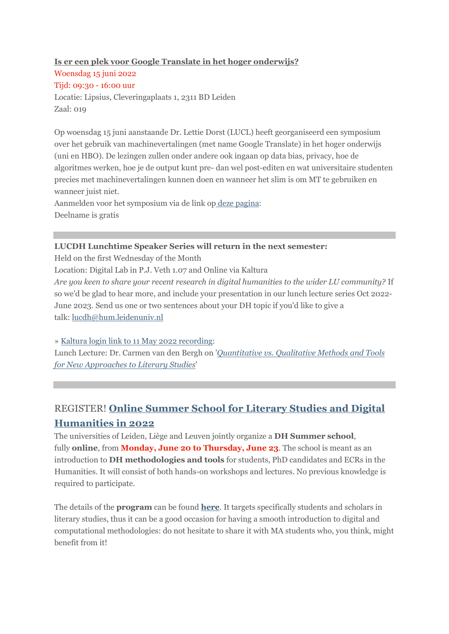### **Is er een plek voor Google Translate in het hoger [onderwijs?](https://eur03.safelinks.protection.outlook.com/?url=https%3A%2F%2Fmailings.universiteitleiden.nl%2Ft%2Fd-l-fjdildk-ildrlkutiy-k%2F&data=05%7C01%7Ca.j.carter%40hum.leidenuniv.nl%7Cea8f918ef7344281dfdd08da42e1a208%7Cca2a7f76dbd74ec091086b3d524fb7c8%7C0%7C0%7C637895834108576687%7CUnknown%7CTWFpbGZsb3d8eyJWIjoiMC4wLjAwMDAiLCJQIjoiV2luMzIiLCJBTiI6Ik1haWwiLCJXVCI6Mn0%3D%7C3000%7C%7C%7C&sdata=bAMZdArWNhMPwReHAvBILXWKQnJu7Hm95ii%2B%2FASIjCo%3D&reserved=0)** Woensdag 15 juni 2022 Tijd: 09:30 - 16:00 uur Locatie: Lipsius, Cleveringaplaats 1, 2311 BD Leiden

Zaal: 019

Op woensdag 15 juni aanstaande Dr. Lettie Dorst (LUCL) heeft georganiseerd een symposium over het gebruik van machinevertalingen (met name Google Translate) in het hoger onderwijs (uni en HBO). De lezingen zullen onder andere ook ingaan op data bias, privacy, hoe de algoritmes werken, hoe je de output kunt pre- dan wel post-editen en wat universitaire studenten precies met machinevertalingen kunnen doen en wanneer het slim is om MT te gebruiken en wanneer juist niet.

Aanmelden voor het symposium via de link op deze [pagina:](https://eur03.safelinks.protection.outlook.com/?url=https%3A%2F%2Fmailings.universiteitleiden.nl%2Ft%2Fd-l-fjdildk-ildrlkutiy-u%2F&data=05%7C01%7Ca.j.carter%40hum.leidenuniv.nl%7Cea8f918ef7344281dfdd08da42e1a208%7Cca2a7f76dbd74ec091086b3d524fb7c8%7C0%7C0%7C637895834108576687%7CUnknown%7CTWFpbGZsb3d8eyJWIjoiMC4wLjAwMDAiLCJQIjoiV2luMzIiLCJBTiI6Ik1haWwiLCJXVCI6Mn0%3D%7C3000%7C%7C%7C&sdata=GcG6U9Skaxc9eo2t%2B9VfUffP%2B9%2BxUWJwOn6FICrLdGU%3D&reserved=0) Deelname is gratis

### **LUCDH Lunchtime Speaker Series will return in the next semester:**

Held on the first Wednesday of the Month Location: Digital Lab in P.J. Veth 1.07 and Online via Kaltura *Are you keen to share your recent research in digital humanities to the wider LU community?* If so we'd be glad to hear more, and include your presentation in our lunch lecture series Oct 2022- June 2023. Send us one or two sentences about your DH topic if you'd like to give a talk: [lucdh@hum.leidenuniv.nl](mailto:lucdh@hum.leidenuniv.nl)

» Kaltura login link to 11 May 2022 [recording:](https://eur03.safelinks.protection.outlook.com/?url=https%3A%2F%2Fmailings.universiteitleiden.nl%2Ft%2Fd-l-fjdildk-ildrlkutiy-o%2F&data=05%7C01%7Ca.j.carter%40hum.leidenuniv.nl%7Cea8f918ef7344281dfdd08da42e1a208%7Cca2a7f76dbd74ec091086b3d524fb7c8%7C0%7C0%7C637895834108576687%7CUnknown%7CTWFpbGZsb3d8eyJWIjoiMC4wLjAwMDAiLCJQIjoiV2luMzIiLCJBTiI6Ik1haWwiLCJXVCI6Mn0%3D%7C3000%7C%7C%7C&sdata=SqUDYAlWDgPZgkn74wpQP2rvR00DGHVV1Cy6K7nlUdU%3D&reserved=0)

Lunch Lecture: Dr. Carmen van den Bergh on '*[Quantitative](https://eur03.safelinks.protection.outlook.com/?url=https%3A%2F%2Fmailings.universiteitleiden.nl%2Ft%2Fd-l-fjdildk-ildrlkutiy-p%2F&data=05%7C01%7Ca.j.carter%40hum.leidenuniv.nl%7Cea8f918ef7344281dfdd08da42e1a208%7Cca2a7f76dbd74ec091086b3d524fb7c8%7C0%7C0%7C637895834108576687%7CUnknown%7CTWFpbGZsb3d8eyJWIjoiMC4wLjAwMDAiLCJQIjoiV2luMzIiLCJBTiI6Ik1haWwiLCJXVCI6Mn0%3D%7C3000%7C%7C%7C&sdata=f23Yk4TTpIA2u9cRq%2FYm1AJPuHi2FnPrP8HGRV2CtSk%3D&reserved=0) vs. Qualitative Methods and Tools for New [Approaches](https://eur03.safelinks.protection.outlook.com/?url=https%3A%2F%2Fmailings.universiteitleiden.nl%2Ft%2Fd-l-fjdildk-ildrlkutiy-p%2F&data=05%7C01%7Ca.j.carter%40hum.leidenuniv.nl%7Cea8f918ef7344281dfdd08da42e1a208%7Cca2a7f76dbd74ec091086b3d524fb7c8%7C0%7C0%7C637895834108576687%7CUnknown%7CTWFpbGZsb3d8eyJWIjoiMC4wLjAwMDAiLCJQIjoiV2luMzIiLCJBTiI6Ik1haWwiLCJXVCI6Mn0%3D%7C3000%7C%7C%7C&sdata=f23Yk4TTpIA2u9cRq%2FYm1AJPuHi2FnPrP8HGRV2CtSk%3D&reserved=0) to Literary Studies*'

# REGISTER! **Online [Summer](https://eur03.safelinks.protection.outlook.com/?url=https%3A%2F%2Fmailings.universiteitleiden.nl%2Ft%2Fd-l-fjdildk-ildrlkutiy-m%2F&data=05%7C01%7Ca.j.carter%40hum.leidenuniv.nl%7Cea8f918ef7344281dfdd08da42e1a208%7Cca2a7f76dbd74ec091086b3d524fb7c8%7C0%7C0%7C637895834108576687%7CUnknown%7CTWFpbGZsb3d8eyJWIjoiMC4wLjAwMDAiLCJQIjoiV2luMzIiLCJBTiI6Ik1haWwiLCJXVCI6Mn0%3D%7C3000%7C%7C%7C&sdata=bzinumofGAA01FdR8IqmjVdz%2BF0WgfB9TxdVIYNJxDk%3D&reserved=0) School for Literary Studies and Digital [Humanities](https://eur03.safelinks.protection.outlook.com/?url=https%3A%2F%2Fmailings.universiteitleiden.nl%2Ft%2Fd-l-fjdildk-ildrlkutiy-m%2F&data=05%7C01%7Ca.j.carter%40hum.leidenuniv.nl%7Cea8f918ef7344281dfdd08da42e1a208%7Cca2a7f76dbd74ec091086b3d524fb7c8%7C0%7C0%7C637895834108576687%7CUnknown%7CTWFpbGZsb3d8eyJWIjoiMC4wLjAwMDAiLCJQIjoiV2luMzIiLCJBTiI6Ik1haWwiLCJXVCI6Mn0%3D%7C3000%7C%7C%7C&sdata=bzinumofGAA01FdR8IqmjVdz%2BF0WgfB9TxdVIYNJxDk%3D&reserved=0) in 2022**

The universities of Leiden, Liège and Leuven jointly organize a **DH Summer school**, fully **online**, from **Monday, June 20 to Thursday, June 23**. The school is meant as an introduction to **DH methodologies and tools** for students, PhD candidates and ECRs in the Humanities. It will consist of both hands-on workshops and lectures. No previous knowledge is required to participate.

The details of the **program** can be found **[here](https://eur03.safelinks.protection.outlook.com/?url=https%3A%2F%2Fmailings.universiteitleiden.nl%2Ft%2Fd-l-fjdildk-ildrlkutiy-c%2F&data=05%7C01%7Ca.j.carter%40hum.leidenuniv.nl%7Cea8f918ef7344281dfdd08da42e1a208%7Cca2a7f76dbd74ec091086b3d524fb7c8%7C0%7C0%7C637895834108576687%7CUnknown%7CTWFpbGZsb3d8eyJWIjoiMC4wLjAwMDAiLCJQIjoiV2luMzIiLCJBTiI6Ik1haWwiLCJXVCI6Mn0%3D%7C3000%7C%7C%7C&sdata=uGHvKjqXfQtUD6%2BtiU1Q7%2B3wfN4F%2Fil6J%2FJEDJMkQ94%3D&reserved=0)**. It targets specifically students and scholars in literary studies, thus it can be a good occasion for having a smooth introduction to digital and computational methodologies: do not hesitate to share it with MA students who, you think, might benefit from it!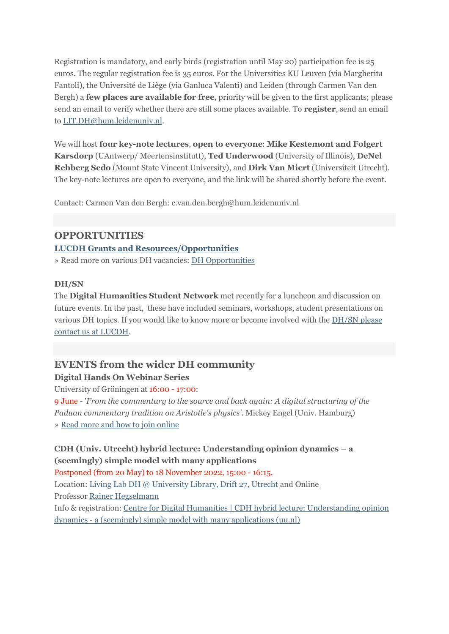Registration is mandatory, and early birds (registration until May 20) participation fee is 25 euros. The regular registration fee is 35 euros. For the Universities KU Leuven (via Margherita Fantoli), the Université de Liège (via Ganluca Valenti) and Leiden (through Carmen Van den Bergh) a **few places are available for free**, priority will be given to the first applicants; please send an email to verify whether there are still some places available. To **register**, send an email to [LIT.DH@hum.leidenuniv.nl.](mailto:LIT.DH@hum.leidenuniv.nl)

We will host **four key-note lectures**, **open to everyone**: **Mike Kestemont and Folgert Karsdorp** (UAntwerp/ Meertensinstitutt), **Ted Underwood** (University of Illinois), **DeNel Rehberg Sedo** (Mount State Vincent University), and **Dirk Van Miert** (Universiteit Utrecht). The key-note lectures are open to everyone, and the link will be shared shortly before the event.

Contact: Carmen Van den Bergh: c.van.den.bergh@hum.leidenuniv.nl

## **OPPORTUNITIES**

**LUCDH Grants and [Resources/Opportunities](https://eur03.safelinks.protection.outlook.com/?url=https%3A%2F%2Fmailings.universiteitleiden.nl%2Ft%2Fd-l-fjdildk-ildrlkutiy-q%2F&data=05%7C01%7Ca.j.carter%40hum.leidenuniv.nl%7Cea8f918ef7344281dfdd08da42e1a208%7Cca2a7f76dbd74ec091086b3d524fb7c8%7C0%7C0%7C637895834108576687%7CUnknown%7CTWFpbGZsb3d8eyJWIjoiMC4wLjAwMDAiLCJQIjoiV2luMzIiLCJBTiI6Ik1haWwiLCJXVCI6Mn0%3D%7C3000%7C%7C%7C&sdata=J8UDMmI%2FFdLkH7cfslCK8mV6qsmZqUyU%2FpwNcLY%2Btrk%3D&reserved=0)**

» Read more on various DH vacancies: DH [Opportunities](https://eur03.safelinks.protection.outlook.com/?url=https%3A%2F%2Fmailings.universiteitleiden.nl%2Ft%2Fd-l-fjdildk-ildrlkutiy-a%2F&data=05%7C01%7Ca.j.carter%40hum.leidenuniv.nl%7Cea8f918ef7344281dfdd08da42e1a208%7Cca2a7f76dbd74ec091086b3d524fb7c8%7C0%7C0%7C637895834108576687%7CUnknown%7CTWFpbGZsb3d8eyJWIjoiMC4wLjAwMDAiLCJQIjoiV2luMzIiLCJBTiI6Ik1haWwiLCJXVCI6Mn0%3D%7C3000%7C%7C%7C&sdata=GRe6NnzkEjy%2Bh%2B4OQGHM1KAQZpZZsqwAn94o49UPvAc%3D&reserved=0)

#### **DH/SN**

The **Digital Humanities Student Network** met recently for a luncheon and discussion on future events. In the past, these have included seminars, workshops, student presentations on various DH topics. If you would like to know more or become involved with the [DH/SN](https://eur03.safelinks.protection.outlook.com/?url=https%3A%2F%2Fmailings.universiteitleiden.nl%2Ft%2Fd-l-fjdildk-ildrlkutiy-f%2F&data=05%7C01%7Ca.j.carter%40hum.leidenuniv.nl%7Cea8f918ef7344281dfdd08da42e1a208%7Cca2a7f76dbd74ec091086b3d524fb7c8%7C0%7C0%7C637895834108576687%7CUnknown%7CTWFpbGZsb3d8eyJWIjoiMC4wLjAwMDAiLCJQIjoiV2luMzIiLCJBTiI6Ik1haWwiLCJXVCI6Mn0%3D%7C3000%7C%7C%7C&sdata=357ULZjQZvmTA1bgCz32xb%2FhTp0By9zKczycaTj%2FGbg%3D&reserved=0) please contact us at [LUCDH.](https://eur03.safelinks.protection.outlook.com/?url=https%3A%2F%2Fmailings.universiteitleiden.nl%2Ft%2Fd-l-fjdildk-ildrlkutiy-f%2F&data=05%7C01%7Ca.j.carter%40hum.leidenuniv.nl%7Cea8f918ef7344281dfdd08da42e1a208%7Cca2a7f76dbd74ec091086b3d524fb7c8%7C0%7C0%7C637895834108576687%7CUnknown%7CTWFpbGZsb3d8eyJWIjoiMC4wLjAwMDAiLCJQIjoiV2luMzIiLCJBTiI6Ik1haWwiLCJXVCI6Mn0%3D%7C3000%7C%7C%7C&sdata=357ULZjQZvmTA1bgCz32xb%2FhTp0By9zKczycaTj%2FGbg%3D&reserved=0)

## **EVENTS from the wider DH community Digital Hands On Webinar Series**

University of Gröningen at 16:00 - 17:00:

9 June - '*From the commentary to the source and back again: A digital structuring of the Paduan commentary tradition on Aristotle's physics'*. Mickey Engel (Univ. Hamburg) » Read more and how to join [online](https://eur03.safelinks.protection.outlook.com/?url=https%3A%2F%2Fmailings.universiteitleiden.nl%2Ft%2Fd-l-fjdildk-ildrlkutiy-z%2F&data=05%7C01%7Ca.j.carter%40hum.leidenuniv.nl%7Cea8f918ef7344281dfdd08da42e1a208%7Cca2a7f76dbd74ec091086b3d524fb7c8%7C0%7C0%7C637895834108576687%7CUnknown%7CTWFpbGZsb3d8eyJWIjoiMC4wLjAwMDAiLCJQIjoiV2luMzIiLCJBTiI6Ik1haWwiLCJXVCI6Mn0%3D%7C3000%7C%7C%7C&sdata=bq1xZcUWD%2FtFVUYQvR2z2yvIR7k%2FuGLkNOiwvydcLl8%3D&reserved=0)

## **CDH (Univ. Utrecht) hybrid lecture: Understanding opinion dynamics – a (seemingly) simple model with many applications**

Postponed (from 20 May) to 18 November 2022, 15:00 - 16:15.

Location: Living Lab DH @ [University](https://eur03.safelinks.protection.outlook.com/?url=https%3A%2F%2Fmailings.universiteitleiden.nl%2Ft%2Fd-l-fjdildk-ildrlkutiy-v%2F&data=05%7C01%7Ca.j.carter%40hum.leidenuniv.nl%7Cea8f918ef7344281dfdd08da42e1a208%7Cca2a7f76dbd74ec091086b3d524fb7c8%7C0%7C0%7C637895834108576687%7CUnknown%7CTWFpbGZsb3d8eyJWIjoiMC4wLjAwMDAiLCJQIjoiV2luMzIiLCJBTiI6Ik1haWwiLCJXVCI6Mn0%3D%7C3000%7C%7C%7C&sdata=XAYTLqXLXE7Gga9hZ3AxDUZ%2BgiZ7AxG6ZHVXnkUEkGg%3D&reserved=0) Library, Drift 27, Utrecht and Online

Professor Rainer [Hegselmann](https://eur03.safelinks.protection.outlook.com/?url=https%3A%2F%2Fmailings.universiteitleiden.nl%2Ft%2Fd-l-fjdildk-ildrlkutiy-e%2F&data=05%7C01%7Ca.j.carter%40hum.leidenuniv.nl%7Cea8f918ef7344281dfdd08da42e1a208%7Cca2a7f76dbd74ec091086b3d524fb7c8%7C0%7C0%7C637895834108576687%7CUnknown%7CTWFpbGZsb3d8eyJWIjoiMC4wLjAwMDAiLCJQIjoiV2luMzIiLCJBTiI6Ik1haWwiLCJXVCI6Mn0%3D%7C3000%7C%7C%7C&sdata=ZTloyKFjAMF9O4U1%2F%2BrZ%2F67MiH9FBcYYVtdd03NFFxY%3D&reserved=0)

Info & registration: Centre for Digital Humanities | CDH hybrid lecture: [Understanding](https://eur03.safelinks.protection.outlook.com/?url=https%3A%2F%2Fmailings.universiteitleiden.nl%2Ft%2Fd-l-fjdildk-ildrlkutiy-s%2F&data=05%7C01%7Ca.j.carter%40hum.leidenuniv.nl%7Cea8f918ef7344281dfdd08da42e1a208%7Cca2a7f76dbd74ec091086b3d524fb7c8%7C0%7C0%7C637895834108576687%7CUnknown%7CTWFpbGZsb3d8eyJWIjoiMC4wLjAwMDAiLCJQIjoiV2luMzIiLCJBTiI6Ik1haWwiLCJXVCI6Mn0%3D%7C3000%7C%7C%7C&sdata=ZKGAIKlsgf1DW6JmPPfkqXEsOisBuKOlfi5cbe%2FNsbg%3D&reserved=0) opinion dynamics - a (seemingly) simple model with many [applications](https://eur03.safelinks.protection.outlook.com/?url=https%3A%2F%2Fmailings.universiteitleiden.nl%2Ft%2Fd-l-fjdildk-ildrlkutiy-s%2F&data=05%7C01%7Ca.j.carter%40hum.leidenuniv.nl%7Cea8f918ef7344281dfdd08da42e1a208%7Cca2a7f76dbd74ec091086b3d524fb7c8%7C0%7C0%7C637895834108576687%7CUnknown%7CTWFpbGZsb3d8eyJWIjoiMC4wLjAwMDAiLCJQIjoiV2luMzIiLCJBTiI6Ik1haWwiLCJXVCI6Mn0%3D%7C3000%7C%7C%7C&sdata=ZKGAIKlsgf1DW6JmPPfkqXEsOisBuKOlfi5cbe%2FNsbg%3D&reserved=0) (uu.nl)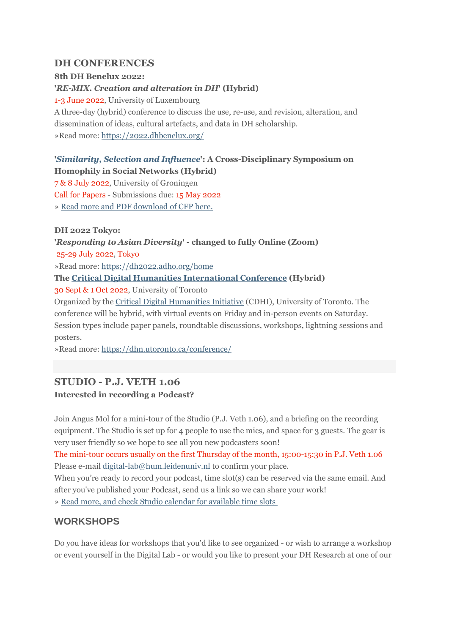### **DH CONFERENCES**

#### **8th DH Benelux 2022:**

#### **'***RE-MIX. Creation and alteration in DH***' (Hybrid)**

1-3 June 2022, University of Luxembourg

A three-day (hybrid) conference to discuss the use, re-use, and revision, alteration, and dissemination of ideas, cultural artefacts, and data in DH scholarship. »Read more: [https://2022.dhbenelux.org/](https://eur03.safelinks.protection.outlook.com/?url=https%3A%2F%2Fmailings.universiteitleiden.nl%2Ft%2Fd-l-fjdildk-ildrlkutiy-g%2F&data=05%7C01%7Ca.j.carter%40hum.leidenuniv.nl%7Cea8f918ef7344281dfdd08da42e1a208%7Cca2a7f76dbd74ec091086b3d524fb7c8%7C0%7C0%7C637895834108576687%7CUnknown%7CTWFpbGZsb3d8eyJWIjoiMC4wLjAwMDAiLCJQIjoiV2luMzIiLCJBTiI6Ik1haWwiLCJXVCI6Mn0%3D%7C3000%7C%7C%7C&sdata=FCY0JdEXbZixu5mbQYAs5Tj6AI84X5CznXq8FyJ5GZA%3D&reserved=0) 

# **'***[Similarity,](https://eur03.safelinks.protection.outlook.com/?url=https%3A%2F%2Fmailings.universiteitleiden.nl%2Ft%2Fd-l-fjdildk-ildrlkutiy-w%2F&data=05%7C01%7Ca.j.carter%40hum.leidenuniv.nl%7Cea8f918ef7344281dfdd08da42e1a208%7Cca2a7f76dbd74ec091086b3d524fb7c8%7C0%7C0%7C637895834108576687%7CUnknown%7CTWFpbGZsb3d8eyJWIjoiMC4wLjAwMDAiLCJQIjoiV2luMzIiLCJBTiI6Ik1haWwiLCJXVCI6Mn0%3D%7C3000%7C%7C%7C&sdata=D3BcW7RQFZVoYQ5KF27MpCUzrLvStt8EDZRKj%2BheDPw%3D&reserved=0) Selection and Influence***': A Cross-Disciplinary Symposium on**

**Homophily in Social Networks (Hybrid)**

7 & 8 July 2022, University of Groningen

Call for Papers - Submissions due: 15 May 2022

» Read more and PDF [download](https://eur03.safelinks.protection.outlook.com/?url=https%3A%2F%2Fmailings.universiteitleiden.nl%2Ft%2Fd-l-fjdildk-ildrlkutiy-yd%2F&data=05%7C01%7Ca.j.carter%40hum.leidenuniv.nl%7Cea8f918ef7344281dfdd08da42e1a208%7Cca2a7f76dbd74ec091086b3d524fb7c8%7C0%7C0%7C637895834108576687%7CUnknown%7CTWFpbGZsb3d8eyJWIjoiMC4wLjAwMDAiLCJQIjoiV2luMzIiLCJBTiI6Ik1haWwiLCJXVCI6Mn0%3D%7C3000%7C%7C%7C&sdata=T5a1BapXGnZgm%2B%2FBTnHfUUb4v4ipeZ1pVy1MEI7RUBw%3D&reserved=0) of CFP here.

**DH 2022 Tokyo:**

**'***Responding to Asian Diversity***' - changed to fully Online (Zoom)** 25-29 July 2022, Tokyo

»Read more: [https://dh2022.adho.org/home](https://eur03.safelinks.protection.outlook.com/?url=https%3A%2F%2Fmailings.universiteitleiden.nl%2Ft%2Fd-l-fjdildk-ildrlkutiy-yh%2F&data=05%7C01%7Ca.j.carter%40hum.leidenuniv.nl%7Cea8f918ef7344281dfdd08da42e1a208%7Cca2a7f76dbd74ec091086b3d524fb7c8%7C0%7C0%7C637895834108576687%7CUnknown%7CTWFpbGZsb3d8eyJWIjoiMC4wLjAwMDAiLCJQIjoiV2luMzIiLCJBTiI6Ik1haWwiLCJXVCI6Mn0%3D%7C3000%7C%7C%7C&sdata=XkFyXqgV1Rlok4A%2Fb55GjLUpneOkmbB6fiOIww%2BNzTU%3D&reserved=0)

#### **The Critical Digital Humanities [International](https://eur03.safelinks.protection.outlook.com/?url=https%3A%2F%2Fmailings.universiteitleiden.nl%2Ft%2Fd-l-fjdildk-ildrlkutiy-yk%2F&data=05%7C01%7Ca.j.carter%40hum.leidenuniv.nl%7Cea8f918ef7344281dfdd08da42e1a208%7Cca2a7f76dbd74ec091086b3d524fb7c8%7C0%7C0%7C637895834108576687%7CUnknown%7CTWFpbGZsb3d8eyJWIjoiMC4wLjAwMDAiLCJQIjoiV2luMzIiLCJBTiI6Ik1haWwiLCJXVCI6Mn0%3D%7C3000%7C%7C%7C&sdata=ti%2FiJOvArucC%2Bvnaj1u46Q1auLbkPFSVwgBeH1tpEok%3D&reserved=0) Conference (Hybrid)**

30 Sept & 1 Oct 2022, University of Toronto

Organized by the Critical Digital [Humanities](https://eur03.safelinks.protection.outlook.com/?url=https%3A%2F%2Fmailings.universiteitleiden.nl%2Ft%2Fd-l-fjdildk-ildrlkutiy-yu%2F&data=05%7C01%7Ca.j.carter%40hum.leidenuniv.nl%7Cea8f918ef7344281dfdd08da42e1a208%7Cca2a7f76dbd74ec091086b3d524fb7c8%7C0%7C0%7C637895834108576687%7CUnknown%7CTWFpbGZsb3d8eyJWIjoiMC4wLjAwMDAiLCJQIjoiV2luMzIiLCJBTiI6Ik1haWwiLCJXVCI6Mn0%3D%7C3000%7C%7C%7C&sdata=4I%2FlWqj%2BpzzPpVEVi3TsZ5jFzMRiTl4epPFpYz8WHTs%3D&reserved=0) Initiative (CDHI), University of Toronto. The conference will be hybrid, with virtual events on Friday and in-person events on Saturday. Session types include paper panels, roundtable discussions, workshops, lightning sessions and posters.

»Read more: [https://dhn.utoronto.ca/conference/](https://eur03.safelinks.protection.outlook.com/?url=https%3A%2F%2Fmailings.universiteitleiden.nl%2Ft%2Fd-l-fjdildk-ildrlkutiy-jl%2F&data=05%7C01%7Ca.j.carter%40hum.leidenuniv.nl%7Cea8f918ef7344281dfdd08da42e1a208%7Cca2a7f76dbd74ec091086b3d524fb7c8%7C0%7C0%7C637895834108576687%7CUnknown%7CTWFpbGZsb3d8eyJWIjoiMC4wLjAwMDAiLCJQIjoiV2luMzIiLCJBTiI6Ik1haWwiLCJXVCI6Mn0%3D%7C3000%7C%7C%7C&sdata=cePBgbNQjytGwSALoDZTH82cR9oOiOFieSeYg%2B%2FhS7E%3D&reserved=0)

# **STUDIO - P.J. VETH 1.06 Interested in recording a Podcast?**

Join Angus Mol for a mini-tour of the Studio (P.J. Veth 1.06), and a briefing on the recording equipment. The Studio is set up for 4 people to use the mics, and space for 3 guests. The gear is very user friendly so we hope to see all you new podcasters soon!

The mini-tour occurs usually on the first Thursday of the month, 15:00-15:30 in P.J. Veth 1.06 Please e-mail [digital-lab@hum.leidenuniv.nl](mailto:digital-lab@hum.leidenuniv.nl) to confirm your place.

When you're ready to record your podcast, time slot(s) can be reserved via the same email. And after you've published your Podcast, send us a link so we can share your work!

» Read more, and check Studio calendar for [available](https://eur03.safelinks.protection.outlook.com/?url=https%3A%2F%2Fmailings.universiteitleiden.nl%2Ft%2Fd-l-fjdildk-ildrlkutiy-jr%2F&data=05%7C01%7Ca.j.carter%40hum.leidenuniv.nl%7Cea8f918ef7344281dfdd08da42e1a208%7Cca2a7f76dbd74ec091086b3d524fb7c8%7C0%7C0%7C637895834108576687%7CUnknown%7CTWFpbGZsb3d8eyJWIjoiMC4wLjAwMDAiLCJQIjoiV2luMzIiLCJBTiI6Ik1haWwiLCJXVCI6Mn0%3D%7C3000%7C%7C%7C&sdata=HzKV%2FPigA1%2BXnxeiFfOj49fGrk11rKzaEiNUTck3zhk%3D&reserved=0) time slots

# **WORKSHOPS**

Do you have ideas for workshops that you'd like to see organized - or wish to arrange a workshop or event yourself in the Digital Lab - or would you like to present your DH Research at one of our